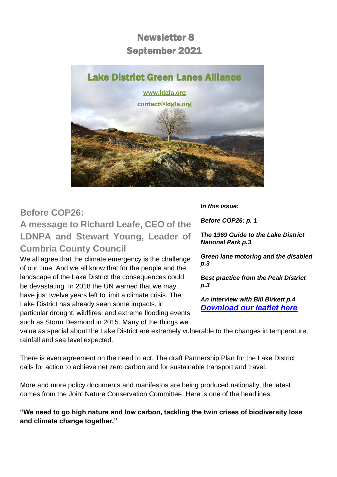# Newsletter 8 September 2021



# **Before COP26:**

**A message to Richard Leafe, CEO of the LDNPA and Stewart Young, Leader of Cumbria County Council**

We all agree that the climate emergency is the challenge of our time. And we all know that for the people and the landscape of the Lake District the consequences could be devastating. In 2018 the UN warned that we may have just twelve years left to limit a climate crisis. The Lake District has already seen some impacts, in particular drought, wildfires, and extreme flooding events such as Storm Desmond in 2015. Many of the things we

*In this issue:*

*Before COP26: p. 1*

*The 1969 Guide to the Lake District National Park p.3*

*Green lane motoring and the disabled p.3*

*Best practice from the Peak District p.3*

*An interview with Bill Birkett p.4 [Download our leaflet here](https://d93992ec-49a9-490d-8cd2-4c8f6682bde7.filesusr.com/ugd/269609_4dfa44ecc9c94858b47eb7b5075a5d50.pdf)*

value as special about the Lake District are extremely vulnerable to the changes in temperature, rainfall and sea level expected.

There is even agreement on the need to act. The draft Partnership Plan for the Lake District calls for action to achieve net zero carbon and for sustainable transport and travel.

More and more policy documents and manifestos are being produced nationally, the latest comes from the Joint Nature Conservation Committee. Here is one of the headlines:

**"We need to go high nature and low carbon, tackling the twin crises of biodiversity loss and climate change together."**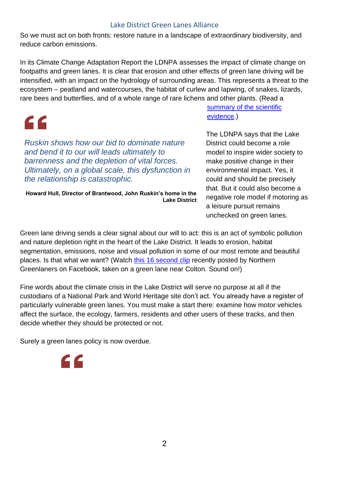So we must act on both fronts: restore nature in a landscape of extraordinary biodiversity, and reduce carbon emissions.

In its Climate Change Adaptation Report the LDNPA assesses the impact of climate change on footpaths and green lanes. It is clear that erosion and other effects of green lane driving will be intensified, with an impact on the hydrology of surrounding areas. This represents a threat to the ecosystem – peatland and watercourses, the habitat of curlew and lapwing, of snakes, lizards, rare bees and butterflies, and of a whole range of rare lichens and other plants. (Read a

# $\epsilon$

*Ruskin shows how our bid to dominate nature and bend it to our will leads ultimately to barrenness and the depletion of vital forces. Ultimately, on a global scale, this dysfunction in the relationship is catastrophic.* 

**Howard Hull, Director of Brantwood, John Ruskin's home in the Lake District** [summary of the scientific](https://d.docs.live.net/8cca691aeab5d867/Documents/Little%20Langdale/3%20LD%20Green%20Lanes%20Alliance/Newsletter/September%202021/Ruskin%20also%20targets%20competition%20between%20people%20and%20nature,%20showing%20how%20our%20bid%20to%20dominate%20nature%20and%20bend%20it%20to%20our%20will%20leads%20ultimately%20to%20barrenness%20and%20the%20depletion%20of%20vital%20forces.%20Ultimately,%20on%20a%20global%20scale,%20this%20disfunction%20in%20the%20relationship%20is%20catastrophic.)  [evidence.](https://d.docs.live.net/8cca691aeab5d867/Documents/Little%20Langdale/3%20LD%20Green%20Lanes%20Alliance/Newsletter/September%202021/Ruskin%20also%20targets%20competition%20between%20people%20and%20nature,%20showing%20how%20our%20bid%20to%20dominate%20nature%20and%20bend%20it%20to%20our%20will%20leads%20ultimately%20to%20barrenness%20and%20the%20depletion%20of%20vital%20forces.%20Ultimately,%20on%20a%20global%20scale,%20this%20disfunction%20in%20the%20relationship%20is%20catastrophic.))

The LDNPA says that the Lake District could become a role model to inspire wider society to make positive change in their environmental impact. Yes, it could and should be precisely that. But it could also become a negative role model if motoring as a leisure pursuit remains unchecked on green lanes.

Green lane driving sends a clear signal about our will to act: this is an act of symbolic pollution and nature depletion right in the heart of the Lake District. It leads to erosion, habitat segmentation, emissions, noise and visual pollution in some of our most remote and beautiful places. Is that what we want? (Watch this [16 second clip](https://twitter.com/ourlakes/status/1442851569582673920?s=20) recently posted by Northern Greenlaners on Facebook, taken on a green lane near Colton. Sound on!)

Fine words about the climate crisis in the Lake District will serve no purpose at all if the custodians of a National Park and World Heritage site don't act. You already have a register of particularly vulnerable green lanes. You must make a start there: examine how motor vehicles affect the surface, the ecology, farmers, residents and other users of these tracks, and then decide whether they should be protected or not.

Surely a green lanes policy is now overdue.

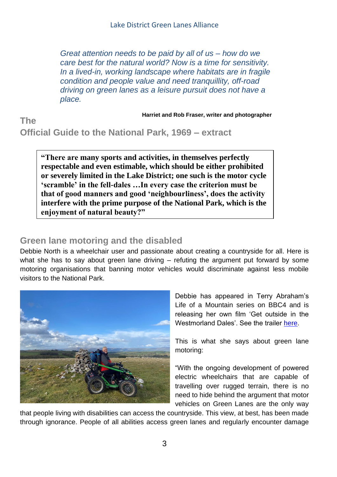*Great attention needs to be paid by all of us – how do we care best for the natural world? Now is a time for sensitivity. In a lived-in, working landscape where habitats are in fragile condition and people value and need tranquillity, off-road driving on green lanes as a leisure pursuit does not have a place.*

**Harriet and Rob Fraser, writer and photographer**

**The Official Guide to the National Park, 1969 – extract**

**"There are many sports and activities, in themselves perfectly respectable and even estimable, which should be either prohibited or severely limited in the Lake District; one such is the motor cycle 'scramble' in the fell-dales …In every case the criterion must be that of good manners and good 'neighbourliness', does the activity interfere with the prime purpose of the National Park, which is the enjoyment of natural beauty?"**

# **Green lane motoring and the disabled**

Debbie North is a wheelchair user and passionate about creating a countryside for all. Here is what she has to say about green lane driving – refuting the argument put forward by some motoring organisations that banning motor vehicles would discriminate against less mobile visitors to the National Park.



Debbie has appeared in Terry Abraham's Life of a Mountain series on BBC4 and is releasing her own film 'Get outside in the Westmorland Dales'. See the trailer [here.](https://d.docs.live.net/8cca691aeab5d867/Documents/Little%20Langdale/3%20LD%20Green%20Lanes%20Alliance/Newsletter/September%202021/buff.ly/3zv8rs5)

This is what she says about green lane motoring:

"With the ongoing development of powered electric wheelchairs that are capable of travelling over rugged terrain, there is no need to hide behind the argument that motor vehicles on Green Lanes are the only way

that people living with disabilities can access the countryside. This view, at best, has been made through ignorance. People of all abilities access green lanes and regularly encounter damage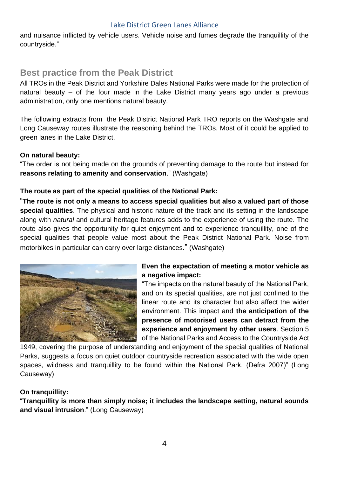and nuisance inflicted by vehicle users. Vehicle noise and fumes degrade the tranquillity of the countryside."

# **Best practice from the Peak District**

All TROs in the Peak District and Yorkshire Dales National Parks were made for the protection of natural beauty – of the four made in the Lake District many years ago under a previous administration, only one mentions natural beauty.

The following extracts from the Peak District National Park TRO reports on the Washgate and Long Causeway routes illustrate the reasoning behind the TROs. Most of it could be applied to green lanes in the Lake District.

#### **On natural beauty:**

"The order is not being made on the grounds of preventing damage to the route but instead for **reasons relating to amenity and conservation**." (Washgate)

#### **The route as part of the special qualities of the National Park:**

"**The route is not only a means to access special qualities but also a valued part of those special qualities**. The physical and historic nature of the track and its setting in the landscape along with *natural* and cultural heritage features adds to the experience of using the route. The route also gives the opportunity for quiet enjoyment and to experience tranquillity, one of the special qualities that people value most about the Peak District National Park. Noise from motorbikes in particular can carry over large distances." (Washgate)



#### **Even the expectation of meeting a motor vehicle as a negative impact:**

"The impacts on the natural beauty of the National Park, and on its special qualities, are not just confined to the linear route and its character but also affect the wider environment. This impact and **the anticipation of the presence of motorised users can detract from the experience and enjoyment by other users**. Section 5 of the National Parks and Access to the Countryside Act

1949, covering the purpose of understanding and enjoyment of the special qualities of National Parks, suggests a focus on quiet outdoor countryside recreation associated with the wide open spaces, wildness and tranquillity to be found within the National Park. (Defra 2007)" (Long Causeway)

#### **On tranquillity:**

"**Tranquillity is more than simply noise; it includes the landscape setting, natural sounds and visual intrusion**." (Long Causeway)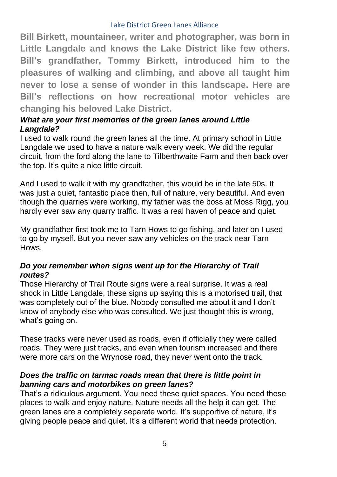**Bill Birkett, mountaineer, writer and photographer, was born in Little Langdale and knows the Lake District like few others. Bill's grandfather, Tommy Birkett, introduced him to the pleasures of walking and climbing, and above all taught him never to lose a sense of wonder in this landscape. Here are Bill's reflections on how recreational motor vehicles are changing his beloved Lake District.**

## *What are your first memories of the green lanes around Little Langdale?*

I used to walk round the green lanes all the time. At primary school in Little Langdale we used to have a nature walk every week. We did the regular circuit, from the ford along the lane to Tilberthwaite Farm and then back over the top. It's quite a nice little circuit.

And I used to walk it with my grandfather, this would be in the late 50s. It was just a quiet, fantastic place then, full of nature, very beautiful. And even though the quarries were working, my father was the boss at Moss Rigg, you hardly ever saw any quarry traffic. It was a real haven of peace and quiet.

My grandfather first took me to Tarn Hows to go fishing, and later on I used to go by myself. But you never saw any vehicles on the track near Tarn **Hows** 

#### *Do you remember when signs went up for the Hierarchy of Trail routes?*

Those Hierarchy of Trail Route signs were a real surprise. It was a real shock in Little Langdale, these signs up saying this is a motorised trail, that was completely out of the blue. Nobody consulted me about it and I don't know of anybody else who was consulted. We just thought this is wrong, what's going on.

These tracks were never used as roads, even if officially they were called roads. They were just tracks, and even when tourism increased and there were more cars on the Wrynose road, they never went onto the track.

#### *Does the traffic on tarmac roads mean that there is little point in banning cars and motorbikes on green lanes?*

That's a ridiculous argument. You need these quiet spaces. You need these places to walk and enjoy nature. Nature needs all the help it can get. The green lanes are a completely separate world. It's supportive of nature, it's giving people peace and quiet. It's a different world that needs protection.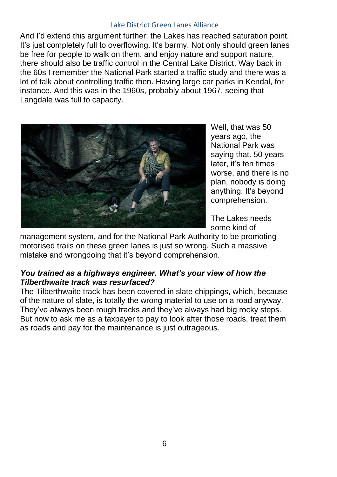And I'd extend this argument further: the Lakes has reached saturation point. It's just completely full to overflowing. It's barmy. Not only should green lanes be free for people to walk on them, and enjoy nature and support nature, there should also be traffic control in the Central Lake District. Way back in the 60s I remember the National Park started a traffic study and there was a lot of talk about controlling traffic then. Having large car parks in Kendal, for instance. And this was in the 1960s, probably about 1967, seeing that Langdale was full to capacity.



Well, that was 50 years ago, the National Park was saying that. 50 years later, it's ten times worse, and there is no plan, nobody is doing anything. It's beyond comprehension.

The Lakes needs some kind of

management system, and for the National Park Authority to be promoting motorised trails on these green lanes is just so wrong. Such a massive mistake and wrongdoing that it's beyond comprehension.

## *You trained as a highways engineer. What's your view of how the Tilberthwaite track was resurfaced?*

The Tilberthwaite track has been covered in slate chippings, which, because of the nature of slate, is totally the wrong material to use on a road anyway. They've always been rough tracks and they've always had big rocky steps. But now to ask me as a taxpayer to pay to look after those roads, treat them as roads and pay for the maintenance is just outrageous.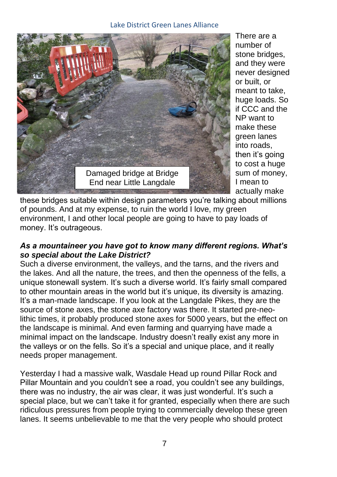

There are a number of stone bridges, and they were never designed or built, or meant to take, huge loads. So if CCC and the NP want to make these green lanes into roads, then it's going to cost a huge sum of money, I mean to actually make

these bridges suitable within design parameters you're talking about millions of pounds. And at my expense, to ruin the world I love, my green environment, I and other local people are going to have to pay loads of money. It's outrageous.

# *As a mountaineer you have got to know many different regions. What's so special about the Lake District?*

Such a diverse environment, the valleys, and the tarns, and the rivers and the lakes. And all the nature, the trees, and then the openness of the fells, a unique stonewall system. It's such a diverse world. It's fairly small compared to other mountain areas in the world but it's unique, its diversity is amazing. It's a man-made landscape. If you look at the Langdale Pikes, they are the source of stone axes, the stone axe factory was there. It started pre-neolithic times, it probably produced stone axes for 5000 years, but the effect on the landscape is minimal. And even farming and quarrying have made a minimal impact on the landscape. Industry doesn't really exist any more in the valleys or on the fells. So it's a special and unique place, and it really needs proper management.

Yesterday I had a massive walk, Wasdale Head up round Pillar Rock and Pillar Mountain and you couldn't see a road, you couldn't see any buildings, there was no industry, the air was clear, it was just wonderful. It's such a special place, but we can't take it for granted, especially when there are such ridiculous pressures from people trying to commercially develop these green lanes. It seems unbelievable to me that the very people who should protect